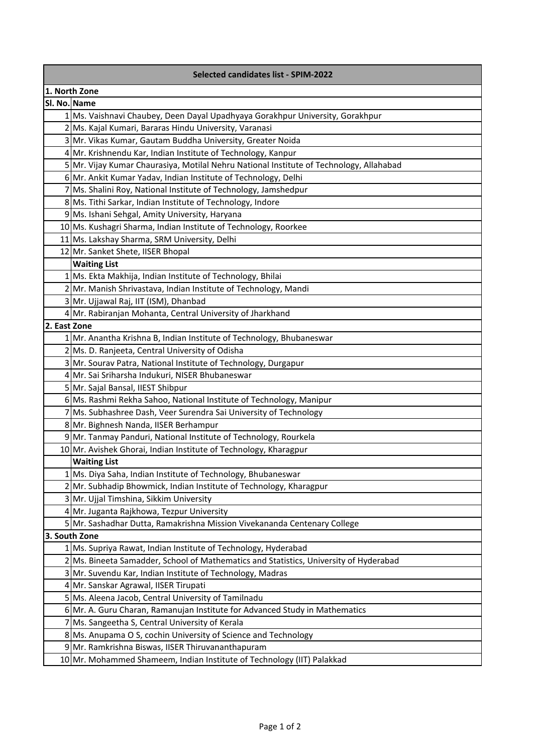| <b>Selected candidates list - SPIM-2022</b> |                                                                                                                                                         |  |
|---------------------------------------------|---------------------------------------------------------------------------------------------------------------------------------------------------------|--|
| 1. North Zone                               |                                                                                                                                                         |  |
| Sl. No. Name                                |                                                                                                                                                         |  |
|                                             | 1 Ms. Vaishnavi Chaubey, Deen Dayal Upadhyaya Gorakhpur University, Gorakhpur                                                                           |  |
|                                             | 2 Ms. Kajal Kumari, Bararas Hindu University, Varanasi                                                                                                  |  |
|                                             | 3 Mr. Vikas Kumar, Gautam Buddha University, Greater Noida                                                                                              |  |
|                                             | 4 Mr. Krishnendu Kar, Indian Institute of Technology, Kanpur                                                                                            |  |
|                                             | 5 Mr. Vijay Kumar Chaurasiya, Motilal Nehru National Institute of Technology, Allahabad                                                                 |  |
|                                             | 6 Mr. Ankit Kumar Yadav, Indian Institute of Technology, Delhi                                                                                          |  |
|                                             | 7 Ms. Shalini Roy, National Institute of Technology, Jamshedpur                                                                                         |  |
|                                             | 8 Ms. Tithi Sarkar, Indian Institute of Technology, Indore                                                                                              |  |
|                                             | 9 Ms. Ishani Sehgal, Amity University, Haryana                                                                                                          |  |
|                                             | 10 Ms. Kushagri Sharma, Indian Institute of Technology, Roorkee                                                                                         |  |
|                                             | 11 Ms. Lakshay Sharma, SRM University, Delhi                                                                                                            |  |
|                                             | 12 Mr. Sanket Shete, IISER Bhopal                                                                                                                       |  |
|                                             | <b>Waiting List</b>                                                                                                                                     |  |
|                                             | 1 Ms. Ekta Makhija, Indian Institute of Technology, Bhilai                                                                                              |  |
|                                             | 2 Mr. Manish Shrivastava, Indian Institute of Technology, Mandi                                                                                         |  |
|                                             | 3 Mr. Ujjawal Raj, IIT (ISM), Dhanbad                                                                                                                   |  |
|                                             | 4 Mr. Rabiranjan Mohanta, Central University of Jharkhand                                                                                               |  |
| 2. East Zone                                |                                                                                                                                                         |  |
|                                             | 1 Mr. Anantha Krishna B, Indian Institute of Technology, Bhubaneswar                                                                                    |  |
|                                             | 2 Ms. D. Ranjeeta, Central University of Odisha                                                                                                         |  |
|                                             | 3 Mr. Sourav Patra, National Institute of Technology, Durgapur                                                                                          |  |
|                                             | 4 Mr. Sai Sriharsha Indukuri, NISER Bhubaneswar                                                                                                         |  |
|                                             | 5 Mr. Sajal Bansal, IIEST Shibpur                                                                                                                       |  |
|                                             | 6 Ms. Rashmi Rekha Sahoo, National Institute of Technology, Manipur                                                                                     |  |
|                                             | 7 Ms. Subhashree Dash, Veer Surendra Sai University of Technology                                                                                       |  |
|                                             | 8 Mr. Bighnesh Nanda, IISER Berhampur                                                                                                                   |  |
|                                             | 9 Mr. Tanmay Panduri, National Institute of Technology, Rourkela                                                                                        |  |
|                                             | 10 Mr. Avishek Ghorai, Indian Institute of Technology, Kharagpur                                                                                        |  |
|                                             | <b>Waiting List</b>                                                                                                                                     |  |
|                                             | 1 Ms. Diya Saha, Indian Institute of Technology, Bhubaneswar                                                                                            |  |
|                                             | 2 Mr. Subhadip Bhowmick, Indian Institute of Technology, Kharagpur                                                                                      |  |
|                                             | 3 Mr. Ujjal Timshina, Sikkim University                                                                                                                 |  |
|                                             | 4 Mr. Juganta Rajkhowa, Tezpur University                                                                                                               |  |
|                                             | 5 Mr. Sashadhar Dutta, Ramakrishna Mission Vivekananda Centenary College                                                                                |  |
|                                             | 3. South Zone                                                                                                                                           |  |
|                                             | 1 Ms. Supriya Rawat, Indian Institute of Technology, Hyderabad<br>2 Ms. Bineeta Samadder, School of Mathematics and Statistics, University of Hyderabad |  |
|                                             |                                                                                                                                                         |  |
|                                             | 3 Mr. Suvendu Kar, Indian Institute of Technology, Madras<br>4 Mr. Sanskar Agrawal, IISER Tirupati                                                      |  |
|                                             | 5 Ms. Aleena Jacob, Central University of Tamilnadu                                                                                                     |  |
|                                             |                                                                                                                                                         |  |
|                                             | 6 Mr. A. Guru Charan, Ramanujan Institute for Advanced Study in Mathematics                                                                             |  |
|                                             | 7 Ms. Sangeetha S, Central University of Kerala<br>8 Ms. Anupama O S, cochin University of Science and Technology                                       |  |
|                                             | 9 Mr. Ramkrishna Biswas, IISER Thiruvananthapuram                                                                                                       |  |
|                                             |                                                                                                                                                         |  |
|                                             | 10 Mr. Mohammed Shameem, Indian Institute of Technology (IIT) Palakkad                                                                                  |  |